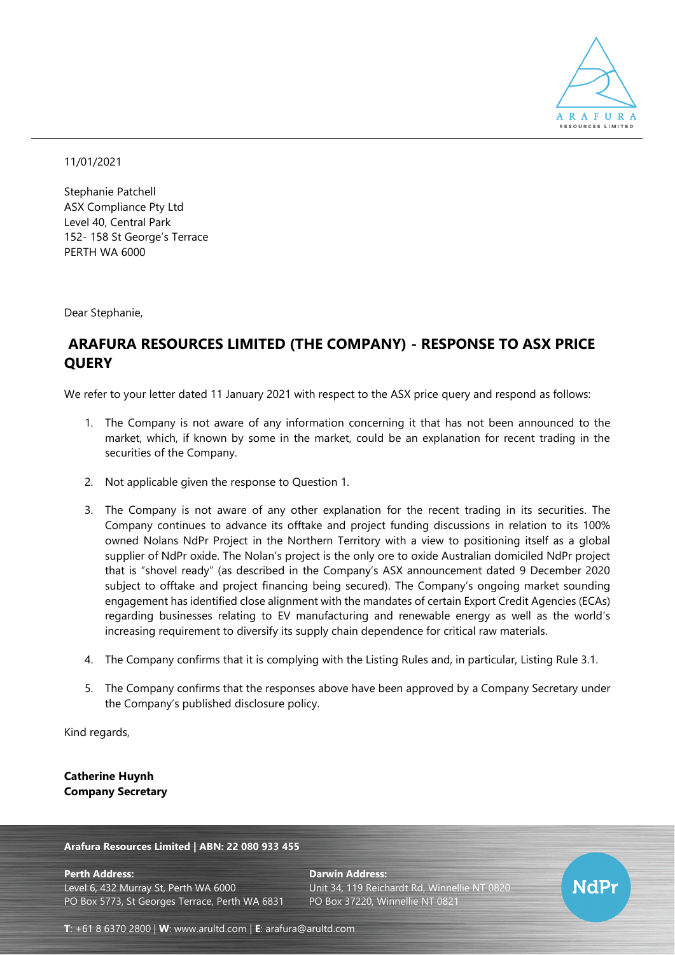

## 11/01/2021

Stephanie Patchell ASX Compliance Pty Ltd Level 40, Central Park 152- 158 St George's Terrace PERTH WA 6000

Dear Stephanie,

# **ARAFURA RESOURCES LIMITED (THE COMPANY) - RESPONSE TO ASX PRICE QUERY**

We refer to your letter dated 11 January 2021 with respect to the ASX price query and respond as follows:

- 1. The Company is not aware of any information concerning it that has not been announced to the market, which, if known by some in the market, could be an explanation for recent trading in the securities of the Company.
- 2. Not applicable given the response to Question 1.
- 3. The Company is not aware of any other explanation for the recent trading in its securities. The Company continues to advance its offtake and project funding discussions in relation to its 100% owned Nolans NdPr Project in the Northern Territory with a view to positioning itself as a global supplier of NdPr oxide. The Nolan's project is the only ore to oxide Australian domiciled NdPr project that is "shovel ready" (as described in the Company's ASX announcement dated 9 December 2020 subject to offtake and project financing being secured). The Company's ongoing market sounding engagement has identified close alignment with the mandates of certain Export Credit Agencies (ECAs) regarding businesses relating to EV manufacturing and renewable energy as well as the world's increasing requirement to diversify its supply chain dependence for critical raw materials.
- 4. The Company confirms that it is complying with the Listing Rules and, in particular, Listing Rule 3.1.
- 5. The Company confirms that the responses above have been approved by a Company Secretary under the Company's published disclosure policy.

Kind regards,

**Catherine Huynh Company Secretary**

**Arafura Resources Limited | ABN: 22 080 933 455**

**Perth Address: Darwin Address:** Level 6, 432 Murray St, Perth WA 6000 Unit 34, 119 Reichardt Rd, Winnellie NT 0820 PO Box 5773, St Georges Terrace, Perth WA 6831 PO Box 37220, Winnellie NT 0821



**T**: +61 8 6370 2800 | **W**: [www.arultd.com](http://www.arultd.com/) | **E**: [arafura@arultd.com](mailto:arafura@arultd.com)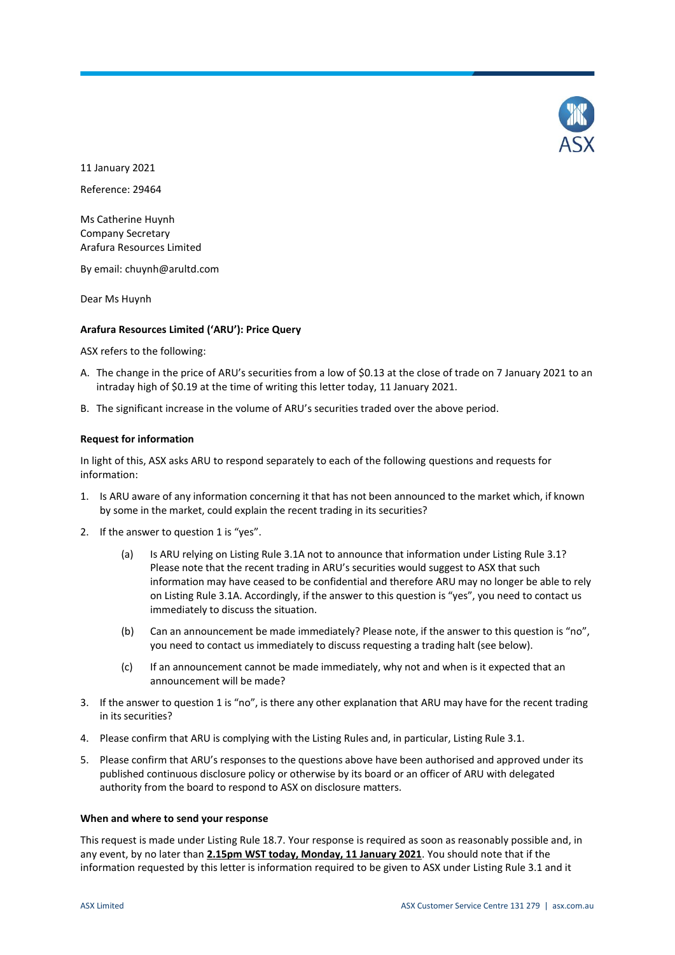

11 January 2021 Reference: 29464

Ms Catherine Huynh Company Secretary

Arafura Resources Limited

By email: chuynh@arultd.com

Dear Ms Huynh

## **Arafura Resources Limited ('ARU'): Price Query**

ASX refers to the following:

- A. The change in the price of ARU's securities from a low of \$0.13 at the close of trade on 7 January 2021 to an intraday high of \$0.19 at the time of writing this letter today, 11 January 2021.
- B. The significant increase in the volume of ARU's securities traded over the above period.

## **Request for information**

In light of this, ASX asks ARU to respond separately to each of the following questions and requests for information:

- 1. Is ARU aware of any information concerning it that has not been announced to the market which, if known by some in the market, could explain the recent trading in its securities?
- 2. If the answer to question 1 is "yes".
	- (a) Is ARU relying on Listing Rule 3.1A not to announce that information under Listing Rule 3.1? Please note that the recent trading in ARU's securities would suggest to ASX that such information may have ceased to be confidential and therefore ARU may no longer be able to rely on Listing Rule 3.1A. Accordingly, if the answer to this question is "yes", you need to contact us immediately to discuss the situation.
	- (b) Can an announcement be made immediately? Please note, if the answer to this question is "no", you need to contact us immediately to discuss requesting a trading halt (see below).
	- (c) If an announcement cannot be made immediately, why not and when is it expected that an announcement will be made?
- 3. If the answer to question 1 is "no", is there any other explanation that ARU may have for the recent trading in its securities?
- 4. Please confirm that ARU is complying with the Listing Rules and, in particular, Listing Rule 3.1.
- 5. Please confirm that ARU's responses to the questions above have been authorised and approved under its published continuous disclosure policy or otherwise by its board or an officer of ARU with delegated authority from the board to respond to ASX on disclosure matters.

## **When and where to send your response**

This request is made under Listing Rule 18.7. Your response is required as soon as reasonably possible and, in any event, by no later than **2.15pm WST today, Monday, 11 January 2021**. You should note that if the information requested by this letter is information required to be given to ASX under Listing Rule 3.1 and it